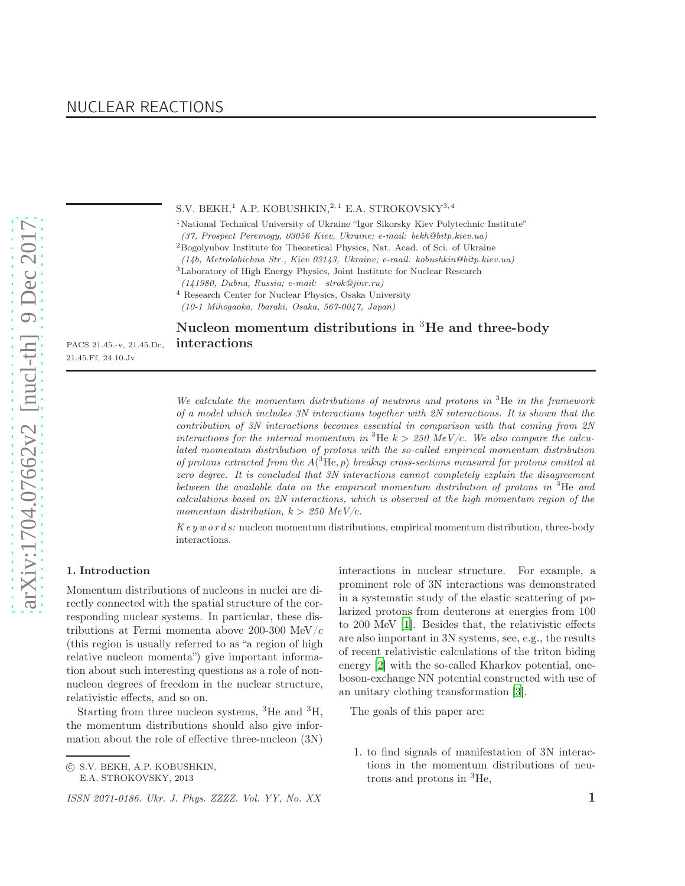NUCLEAR REACTIONS

### S.V. BEKH,<sup>1</sup> A.P. KOBUSHKIN,<sup>2,1</sup> E.A. STROKOVSKY<sup>3,4</sup>

<sup>1</sup>National Technical University of Ukraine "Igor Sikorsky Kiev Polytechnic Institute" *(37, Prospect Peremogy, 03056 Kiev, Ukraine; e-mail: bekh@bitp.kiev.ua)*

 $^3\mathit{Laboratory}$  of High Energy Physics, Joint Institute for Nuclear Research

<sup>4</sup> Research Center for Nuclear Physics, Osaka University

*(10-1 Mihogaoka, Ibaraki, Osaka, 567-0047, Japan)*

# Nucleon momentum distributions in <sup>3</sup>He and three-body PACS 21.45.-v, 21.45.Dc, interactions

*We calculate the momentum distributions of neutrons and protons in* <sup>3</sup>He *in the framework of a model which includes 3N interactions together with 2N interactions. It is shown that the contribution of 3N interactions becomes essential in comparison with that coming from 2N interactions for the internal momentum in*  ${}^{3}$ He  $k > 250$  MeV/c. We also compare the calcu*lated momentum distribution of protons with the so-called empirical momentum distribution of protons extracted from the* A( <sup>3</sup>He, p) *breakup cross-sections measured for protons emitted at zero degree. It is concluded that 3N interactions cannot completely explain the disagreement between the available data on the empirical momentum distribution of protons in* <sup>3</sup>He *and calculations based on 2N interactions, which is observed at the high momentum region of the momentum distribution,*  $k > 250$   $MeV/c$ *.* 

*K e y w o r d s:* nucleon momentum distributions, empirical momentum distribution, three-body interactions.

# 1. Introduction

21.45.Ff, 24.10.Jv

Momentum distributions of nucleons in nuclei are directly connected with the spatial structure of the corresponding nuclear systems. In particular, these distributions at Fermi momenta above 200-300 MeV/ $c$ (this region is usually referred to as "a region of high relative nucleon momenta") give important information about such interesting questions as a role of nonnucleon degrees of freedom in the nuclear structure, relativistic effects, and so on.

Starting from three nucleon systems,  ${}^{3}$ He and  ${}^{3}$ H, the momentum distributions should also give information about the role of effective three-nucleon (3N)

E.A. STROKOVSKY, 2013

interactions in nuclear structure. For example, a prominent role of 3N interactions was demonstrated in a systematic study of the elastic scattering of polarized protons from deuterons at energies from 100 to 200 MeV [\[1](#page-7-0)]. Besides that, the relativistic effects are also important in 3N systems, see, e.g., the results of recent relativistic calculations of the triton biding energy [\[2\]](#page-7-1) with the so-called Kharkov potential, oneboson-exchange NN potential constructed with use of an unitary clothing transformation [\[3\]](#page-7-2).

The goals of this paper are:

1. to find signals of manifestation of 3N interactions in the momentum distributions of neutrons and protons in <sup>3</sup>He,

 ${\rm ^2Bogolyubov}$  Institute for Theoretical Physics, Nat. Acad. of Sci. of Ukraine

*<sup>(14</sup>b, Metrolohichna Str., Kiev 03143, Ukraine; e-mail: kobushkin@bitp.kiev.ua)*

*<sup>(141980,</sup> Dubna, Russia; e-mail: strok@jinr.ru)*

c S.V. BEKH, A.P. KOBUSHKIN,

*ISSN 2071-0186. Ukr. J. Phys. ZZZZ. Vol. YY, No. XX* 1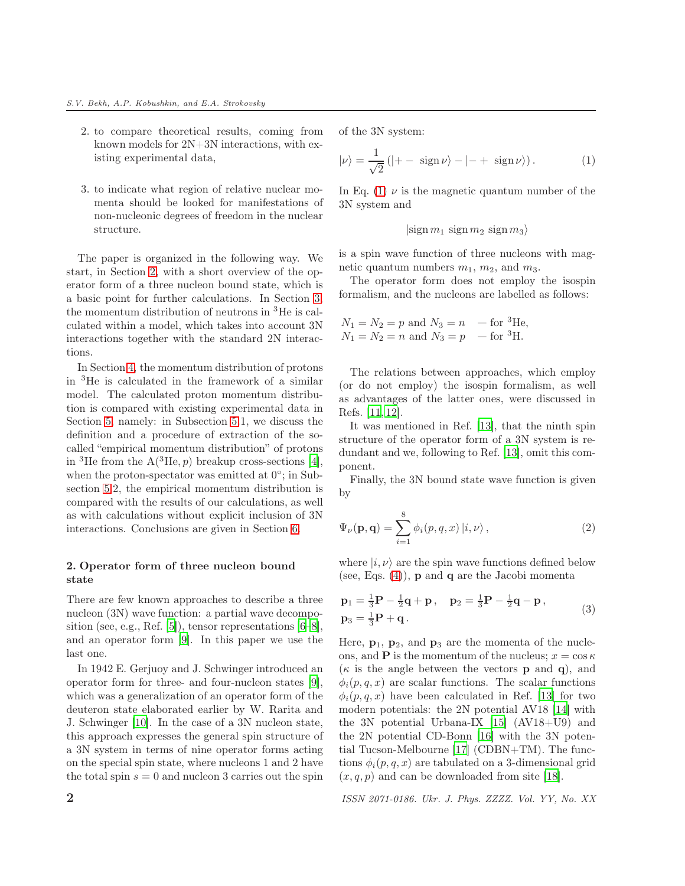- 2. to compare theoretical results, coming from known models for 2N+3N interactions, with existing experimental data,
- 3. to indicate what region of relative nuclear momenta should be looked for manifestations of non-nucleonic degrees of freedom in the nuclear structure.

The paper is organized in the following way. We start, in Section [2,](#page-1-0) with a short overview of the operator form of a three nucleon bound state, which is a basic point for further calculations. In Section [3,](#page-2-0) the momentum distribution of neutrons in <sup>3</sup>He is calculated within a model, which takes into account 3N interactions together with the standard 2N interactions.

In Section [4,](#page-4-0) the momentum distribution of protons in <sup>3</sup>He is calculated in the framework of a similar model. The calculated proton momentum distribution is compared with existing experimental data in Section [5,](#page-5-0) namely: in Subsection [5.](#page-5-0)1, we discuss the definition and a procedure of extraction of the socalled "empirical momentum distribution" of protons in <sup>3</sup>He from the  $A(^{3}He, p)$  breakup cross-sections [\[4](#page-7-3)], when the proton-spectator was emitted at  $0^{\circ}$ ; in Subsection [5.](#page-5-0)2, the empirical momentum distribution is compared with the results of our calculations, as well as with calculations without explicit inclusion of 3N interactions. Conclusions are given in Section [6.](#page-6-0)

## <span id="page-1-0"></span>2. Operator form of three nucleon bound state

There are few known approaches to describe a three nucleon (3N) wave function: a partial wave decomposition (see, e.g., Ref. [\[5](#page-7-4)]), tensor representations [\[6](#page-7-5)[–8](#page-7-6)], and an operator form [\[9](#page-7-7)]. In this paper we use the last one.

In 1942 E. Gerjuoy and J. Schwinger introduced an operator form for three- and four-nucleon states [\[9](#page-7-7)], which was a generalization of an operator form of the deuteron state elaborated earlier by W. Rarita and J. Schwinger [\[10\]](#page-7-8). In the case of a 3N nucleon state, this approach expresses the general spin structure of a 3N system in terms of nine operator forms acting on the special spin state, where nucleons 1 and 2 have the total spin  $s = 0$  and nucleon 3 carries out the spin <span id="page-1-1"></span>of the 3N system:

$$
|\nu\rangle = \frac{1}{\sqrt{2}} \left( |+- \operatorname{sign} \nu\rangle - |-+ \operatorname{sign} \nu\rangle \right). \tag{1}
$$

In Eq. [\(1\)](#page-1-1)  $\nu$  is the magnetic quantum number of the 3N system and

 $|\text{sign } m_1 \text{ sign } m_2 \text{ sign } m_3\rangle$ 

is a spin wave function of three nucleons with magnetic quantum numbers  $m_1$ ,  $m_2$ , and  $m_3$ .

The operator form does not employ the isospin formalism, and the nucleons are labelled as follows:

$$
N_1 = N_2 = p
$$
 and  $N_3 = n$  - for <sup>3</sup>He,  
\n $N_1 = N_2 = n$  and  $N_3 = p$  - for <sup>3</sup>H.

The relations between approaches, which employ (or do not employ) the isospin formalism, as well as advantages of the latter ones, were discussed in Refs. [\[11,](#page-7-9) [12\]](#page-7-10).

It was mentioned in Ref. [\[13\]](#page-7-11), that the ninth spin structure of the operator form of a 3N system is redundant and we, following to Ref. [\[13](#page-7-11)], omit this component.

Finally, the 3N bound state wave function is given by

$$
\Psi_{\nu}(\mathbf{p}, \mathbf{q}) = \sum_{i=1}^{8} \phi_i(p, q, x) |i, \nu\rangle, \qquad (2)
$$

where  $|i, \nu\rangle$  are the spin wave functions defined below (see, Eqs.  $(4)$ ), **p** and **q** are the Jacobi momenta

$$
p_1 = \frac{1}{3}P - \frac{1}{2}q + p, \quad p_2 = \frac{1}{3}P - \frac{1}{2}q - p, p_3 = \frac{1}{3}P + q.
$$
 (3)

Here,  $\mathbf{p}_1$ ,  $\mathbf{p}_2$ , and  $\mathbf{p}_3$  are the momenta of the nucleons, and **P** is the momentum of the nucleus;  $x = \cos \kappa$ ( $\kappa$  is the angle between the vectors **p** and **q**), and  $\phi_i(p,q,x)$  are scalar functions. The scalar functions  $\phi_i(p,q,x)$  have been calculated in Ref. [\[13\]](#page-7-11) for two modern potentials: the 2N potential AV18 [\[14\]](#page-7-12) with the 3N potential Urbana-IX  $[15]$   $(AV18+U9)$  and the 2N potential CD-Bonn [\[16](#page-7-14)] with the 3N potential Tucson-Melbourne [\[17](#page-7-15)] (CDBN+TM). The functions  $\phi_i(p,q,x)$  are tabulated on a 3-dimensional grid  $(x, q, p)$  and can be downloaded from site [\[18\]](#page-7-16).

2 *ISSN 2071-0186. Ukr. J. Phys. ZZZZ. Vol. YY, No. XX*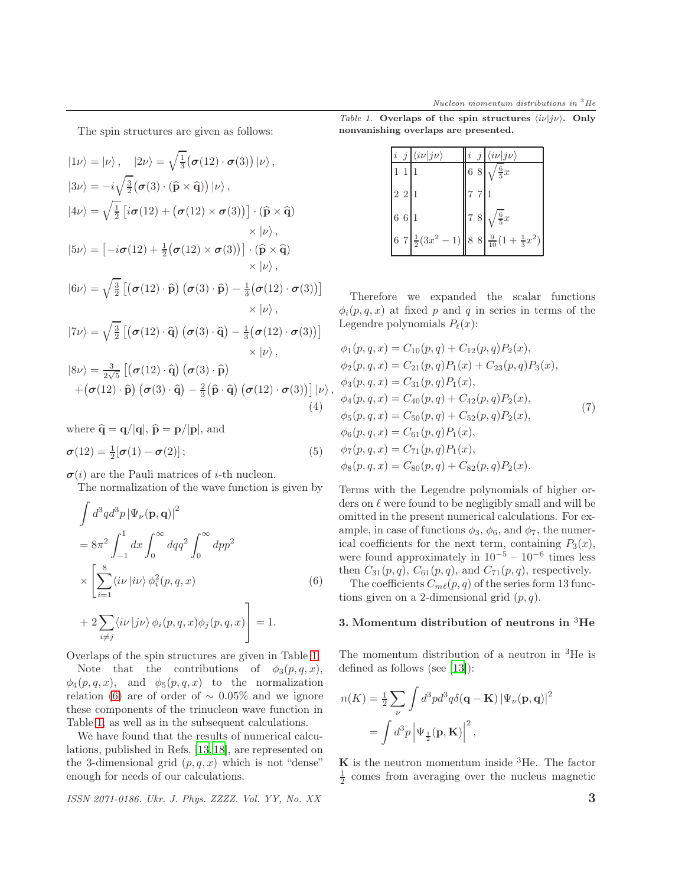The spin structures are given as follows:

$$
|1\nu\rangle = |\nu\rangle, \quad |2\nu\rangle = \sqrt{\frac{1}{3}} (\sigma(12) \cdot \sigma(3)) |\nu\rangle,
$$
  
\n
$$
|3\nu\rangle = -i \sqrt{\frac{3}{2}} (\sigma(3) \cdot (\hat{p} \times \hat{q})) |\nu\rangle,
$$
  
\n
$$
|4\nu\rangle = \sqrt{\frac{1}{2}} [i\sigma(12) + (\sigma(12) \times \sigma(3))] \cdot (\hat{p} \times \hat{q}) \times |\nu\rangle,
$$
  
\n
$$
|5\nu\rangle = [-i\sigma(12) + \frac{1}{2} (\sigma(12) \times \sigma(3))] \cdot (\hat{p} \times \hat{q}) \times |\nu\rangle,
$$
  
\n
$$
|6\nu\rangle = \sqrt{\frac{3}{2}} [(\sigma(12) \cdot \hat{p}) (\sigma(3) \cdot \hat{p}) - \frac{1}{3} (\sigma(12) \cdot \sigma(3))] \times |\nu\rangle,
$$
  
\n
$$
|7\nu\rangle = \sqrt{\frac{3}{2}} [(\sigma(12) \cdot \hat{q}) (\sigma(3) \cdot \hat{q}) - \frac{1}{3} (\sigma(12) \cdot \sigma(3))] \times |\nu\rangle,
$$
  
\n
$$
|8\nu\rangle = \frac{3}{2\sqrt{5}} [(\sigma(12) \cdot \hat{q}) (\sigma(3) \cdot \hat{p}) \times |\nu\rangle,
$$
  
\n
$$
|6\nu\rangle = \frac{3}{2\sqrt{5}} [(\sigma(12) \cdot \hat{q}) (\sigma(3) \cdot \hat{p}) \times |\nu\rangle,
$$
  
\n
$$
|6\nu\rangle = \frac{3}{2\sqrt{5}} [(\sigma(12) \cdot \hat{q}) (\sigma(3) \cdot \hat{p}) \times |\nu\rangle,
$$
  
\n
$$
|6\nu\rangle = \frac{3}{2\sqrt{5}} [(\sigma(12) \cdot \hat{q}) (\sigma(3) \cdot \hat{p}) \times |\nu\rangle,
$$
  
\n
$$
|1\rangle = \sqrt{\frac{3}{2}} [(\sigma(12) \cdot \hat{q}) (\sigma(3) \cdot \hat{q}) - \frac{2}{3} (\hat{p} \cdot \hat{q}) (\sigma(12) \cdot \sigma(3))] |\nu\rangle,
$$
  
\n
$$
|1\rangle = |\nu
$$

where  $\hat{\mathbf{q}} = \mathbf{q}/|\mathbf{q}|, \hat{\mathbf{p}} = \mathbf{p}/|\mathbf{p}|,$  and

$$
\boldsymbol{\sigma}(12) = \frac{1}{2} [\boldsymbol{\sigma}(1) - \boldsymbol{\sigma}(2)]; \tag{5}
$$

 $\sigma(i)$  are the Pauli matrices of *i*-th nucleon.

The normalization of the wave function is given by

<span id="page-2-3"></span>
$$
\int d^3q d^3p |\Psi_{\nu}(\mathbf{p}, \mathbf{q})|^2
$$
  
=  $8\pi^2 \int_{-1}^1 dx \int_0^\infty dq q^2 \int_0^\infty dp p^2$   
 $\times \left[ \sum_{i=1}^8 \langle i\nu | i\nu \rangle \phi_i^2(p, q, x) \right]$  (6)  
+  $2 \sum_{i \neq j} \langle i\nu | j\nu \rangle \phi_i(p, q, x) \phi_j(p, q, x) \right] = 1.$ 

Overlaps of the spin structures are given in Table [1.](#page-2-2)

Note that the contributions of  $\phi_3(p,q,x)$ ,  $\phi_4(p,q,x)$ , and  $\phi_5(p,q,x)$  to the normalization relation [\(6\)](#page-2-3) are of order of  $\sim 0.05\%$  and we ignore these components of the trinucleon wave function in Table [1,](#page-2-2) as well as in the subsequent calculations.

We have found that the results of numerical calculations, published in Refs. [\[13,](#page-7-11) [18\]](#page-7-16), are represented on the 3-dimensional grid  $(p, q, x)$  which is not "dense" enough for needs of our calculations.

*ISSN 2071-0186. Ukr. J. Phys. ZZZZ. Vol. YY, No. XX* 3

<span id="page-2-1"></span>*Table 1.* Overlaps of the spin structures  $\langle i\nu|i\nu\rangle$ . Only nonvanishing overlaps are presented.

<span id="page-2-2"></span>

| i | Ĵ           | $\langle i\nu j\nu\rangle$ | $\overline{i}$<br>j | $\langle i\nu   j\nu \rangle$                                  |
|---|-------------|----------------------------|---------------------|----------------------------------------------------------------|
|   | $1\,$ $1\,$ |                            | $6\,$ $8\,$         | $\frac{6}{5}x$                                                 |
|   | 221         |                            | $7\,$ $7\,$         |                                                                |
|   | 6 6 1       |                            | $7\,$ $8\,$         | $\frac{6}{5}x$                                                 |
|   |             |                            |                     | 6 7 $\frac{1}{2}(3x^2-1)$ 8 8 $\frac{9}{10}(1+\frac{1}{3}x^2)$ |

Therefore we expanded the scalar functions  $\phi_i(p,q,x)$  at fixed p and q in series in terms of the Legendre polynomials  $P_{\ell}(x)$ :

$$
\phi_1(p, q, x) = C_{10}(p, q) + C_{12}(p, q)P_2(x),
$$
  
\n
$$
\phi_2(p, q, x) = C_{21}(p, q)P_1(x) + C_{23}(p, q)P_3(x),
$$
  
\n
$$
\phi_3(p, q, x) = C_{31}(p, q)P_1(x),
$$
  
\n
$$
\phi_4(p, q, x) = C_{40}(p, q) + C_{42}(p, q)P_2(x),
$$
  
\n
$$
\phi_5(p, q, x) = C_{50}(p, q) + C_{52}(p, q)P_2(x),
$$
  
\n
$$
\phi_6(p, q, x) = C_{61}(p, q)P_1(x),
$$
  
\n
$$
\phi_7(p, q, x) = C_{71}(p, q)P_1(x),
$$
  
\n
$$
\phi_8(p, q, x) = C_{80}(p, q) + C_{82}(p, q)P_2(x).
$$

Terms with the Legendre polynomials of higher orders on  $\ell$  were found to be negligibly small and will be omitted in the present numerical calculations. For example, in case of functions  $\phi_3$ ,  $\phi_6$ , and  $\phi_7$ , the numerical coefficients for the next term, containing  $P_3(x)$ , were found approximately in  $10^{-5} - 10^{-6}$  times less then  $C_{31}(p, q)$ ,  $C_{61}(p, q)$ , and  $C_{71}(p, q)$ , respectively. The coefficients  $C_{m\ell}(p,q)$  of the series form 13 func-

tions given on a 2-dimensional grid  $(p, q)$ .

### <span id="page-2-0"></span>3. Momentum distribution of neutrons in <sup>3</sup>He

The momentum distribution of a neutron in <sup>3</sup>He is defined as follows (see [\[13\]](#page-7-11)):

$$
n(K) = \frac{1}{2} \sum_{\nu} \int d^3p d^3q \delta(\mathbf{q} - \mathbf{K}) |\Psi_{\nu}(\mathbf{p}, \mathbf{q})|^2
$$

$$
= \int d^3p |\Psi_{\frac{1}{2}}(\mathbf{p}, \mathbf{K})|^2,
$$

 $\boldsymbol{K}$  is the neutron momentum inside <sup>3</sup>He. The factor  $\frac{1}{2}$  comes from averaging over the nucleus magnetic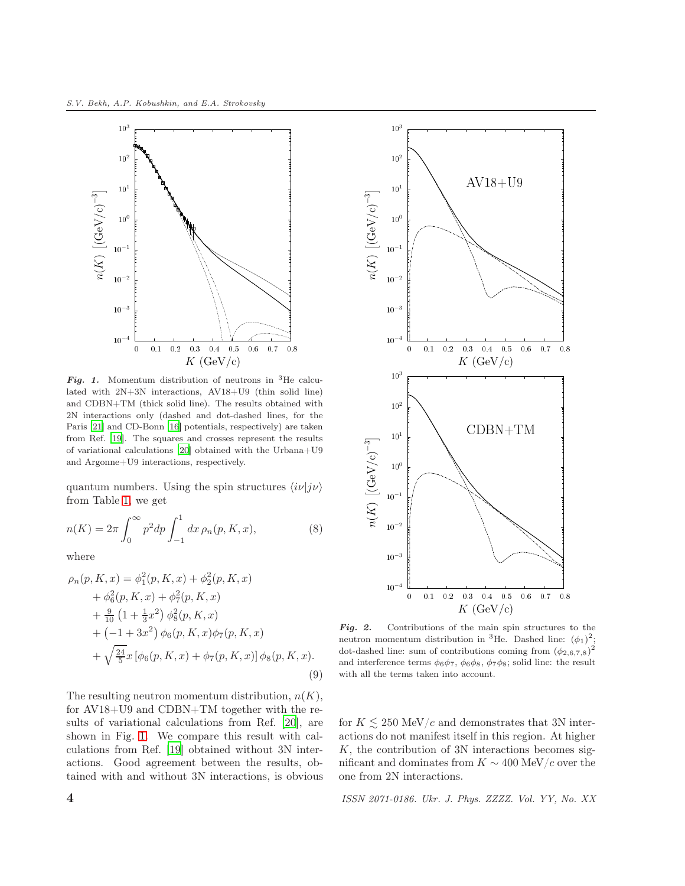

<span id="page-3-0"></span>Fig. 1. Momentum distribution of neutrons in <sup>3</sup>He calculated with 2N+3N interactions, AV18+U9 (thin solid line) and CDBN+TM (thick solid line). The results obtained with 2N interactions only (dashed and dot-dashed lines, for the Paris [\[21](#page-7-17)] and CD-Bonn [\[16](#page-7-14)] potentials, respectively) are taken from Ref. [\[19\]](#page-7-18). The squares and crosses represent the results of variational calculations [\[20\]](#page-7-19) obtained with the Urbana+U9 and Argonne+U9 interactions, respectively.

quantum numbers. Using the spin structures  $\langle i\nu|j\nu\rangle$ from Table [1,](#page-2-2) we get

$$
n(K) = 2\pi \int_0^\infty p^2 dp \int_{-1}^1 dx \, \rho_n(p, K, x), \tag{8}
$$

<span id="page-3-1"></span>where

$$
\rho_n(p, K, x) = \phi_1^2(p, K, x) + \phi_2^2(p, K, x) \n+ \phi_6^2(p, K, x) + \phi_7^2(p, K, x) \n+ \frac{9}{10} (1 + \frac{1}{3}x^2) \phi_8^2(p, K, x) \n+ (-1 + 3x^2) \phi_6(p, K, x) \phi_7(p, K, x) \n+ \sqrt{\frac{24}{5}} x [\phi_6(p, K, x) + \phi_7(p, K, x)] \phi_8(p, K, x).
$$
\n(9)

The resulting neutron momentum distribution,  $n(K)$ , for AV18+U9 and CDBN+TM together with the results of variational calculations from Ref. [\[20\]](#page-7-19), are shown in Fig. [1.](#page-3-0) We compare this result with calculations from Ref. [\[19\]](#page-7-18) obtained without 3N interactions. Good agreement between the results, obtained with and without 3N interactions, is obvious



<span id="page-3-2"></span>Fig. 2. Contributions of the main spin structures to the neutron momentum distribution in <sup>3</sup>He. Dashed line:  $(\phi_1)^2$ ; dot-dashed line: sum of contributions coming from  $(\phi_{2,6,7,8})^2$ and interference terms  $\phi_6\phi_7$ ,  $\phi_6\phi_8$ ,  $\phi_7\phi_8$ ; solid line: the result with all the terms taken into account.

for  $K \lesssim 250$  MeV/c and demonstrates that 3N interactions do not manifest itself in this region. At higher  $K$ , the contribution of 3N interactions becomes significant and dominates from  $K \sim 400$  MeV/c over the one from 2N interactions.

4 *ISSN 2071-0186. Ukr. J. Phys. ZZZZ. Vol. YY, No. XX*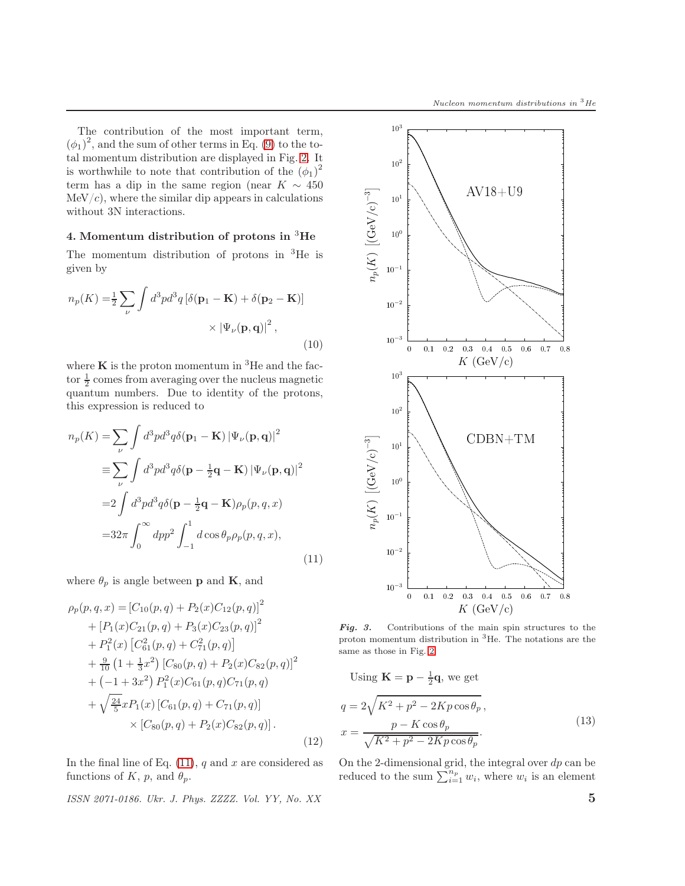The contribution of the most important term,  $(\phi_1)^2$ , and the sum of other terms in Eq. [\(9\)](#page-3-1) to the total momentum distribution are displayed in Fig. [2.](#page-3-2) It is worthwhile to note that contribution of the  $(\phi_1)^2$ term has a dip in the same region (near  $K \sim 450$  $MeV/c$ , where the similar dip appears in calculations without 3N interactions.

# <span id="page-4-0"></span>4. Momentum distribution of protons in  ${}^{3}$ He

The momentum distribution of protons in <sup>3</sup>He is given by

$$
n_p(K) = \frac{1}{2} \sum_{\nu} \int d^3p d^3q \left[ \delta(\mathbf{p}_1 - \mathbf{K}) + \delta(\mathbf{p}_2 - \mathbf{K}) \right] \times \left| \Psi_{\nu}(\mathbf{p}, \mathbf{q}) \right|^2,
$$
\n(10)

where  $\bf{K}$  is the proton momentum in <sup>3</sup>He and the factor  $\frac{1}{2}$  comes from averaging over the nucleus magnetic quantum numbers. Due to identity of the protons, this expression is reduced to

<span id="page-4-1"></span>
$$
n_p(K) = \sum_{\nu} \int d^3p d^3q \delta(\mathbf{p}_1 - \mathbf{K}) |\Psi_{\nu}(\mathbf{p}, \mathbf{q})|^2
$$
  
\n
$$
\equiv \sum_{\nu} \int d^3p d^3q \delta(\mathbf{p} - \frac{1}{2}\mathbf{q} - \mathbf{K}) |\Psi_{\nu}(\mathbf{p}, \mathbf{q})|^2
$$
  
\n
$$
= 2 \int d^3p d^3q \delta(\mathbf{p} - \frac{1}{2}\mathbf{q} - \mathbf{K}) \rho_p(p, q, x)
$$
  
\n
$$
= 32\pi \int_0^\infty dp p^2 \int_{-1}^1 d\cos\theta_p \rho_p(p, q, x),
$$
\n(11)

where  $\theta_p$  is angle between **p** and **K**, and

$$
\rho_p(p,q,x) = [C_{10}(p,q) + P_2(x)C_{12}(p,q)]^2
$$
  
+  $[P_1(x)C_{21}(p,q) + P_3(x)C_{23}(p,q)]^2$   
+  $P_1^2(x) [C_{61}^2(p,q) + C_{71}^2(p,q)]$   
+  $\frac{9}{10} (1 + \frac{1}{3}x^2) [C_{80}(p,q) + P_2(x)C_{82}(p,q)]^2$   
+  $(-1 + 3x^2) P_1^2(x)C_{61}(p,q)C_{71}(p,q)$   
+  $\sqrt{\frac{24}{5}}xP_1(x) [C_{61}(p,q) + C_{71}(p,q)]$   
×  $[C_{80}(p,q) + P_2(x)C_{82}(p,q)].$  (12)

In the final line of Eq.  $(11)$ , q and x are considered as functions of K, p, and  $\theta_p$ .

*ISSN 2071-0186. Ukr. J. Phys. ZZZZ. Vol. YY, No. XX* 5



<span id="page-4-3"></span>Fig. 3. Contributions of the main spin structures to the proton momentum distribution in <sup>3</sup>He. The notations are the same as those in Fig. [2.](#page-3-2)

<span id="page-4-2"></span>Using  $\mathbf{K} = \mathbf{p} - \frac{1}{2}\mathbf{q}$ , we get  $q = 2\sqrt{K^2 + p^2 - 2Kp\cos\theta_p},$  $x = \frac{p - K \cos \theta_p}{\sqrt{K^2 + p^2 - 2Kp \cos \theta_p}}.$ (13)

On the 2-dimensional grid, the integral over  $dp$  can be reduced to the sum  $\sum_{i=1}^{n_p} w_i$ , where  $w_i$  is an element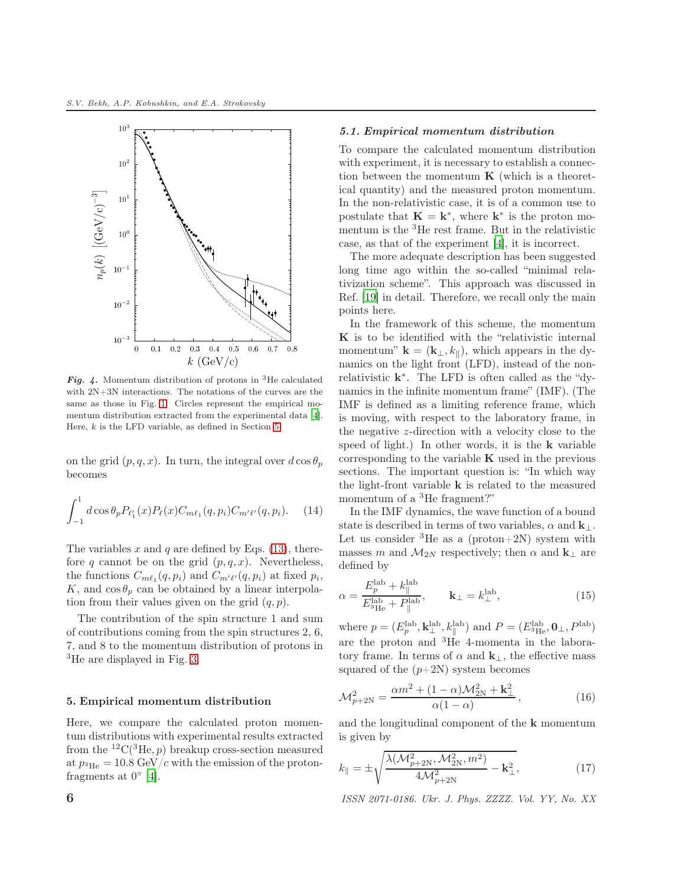

<span id="page-5-1"></span>Fig. 4. Momentum distribution of protons in <sup>3</sup>He calculated with 2N+3N interactions. The notations of the curves are the same as those in Fig. [1.](#page-3-0) Circles represent the empirical momentum distribution extracted from the experimental data [\[4](#page-7-3)]. Here,  $k$  is the LFD variable, as defined in Section [5.](#page-5-0)

on the grid  $(p, q, x)$ . In turn, the integral over  $d \cos \theta_p$ becomes

$$
\int_{-1}^{1} d\cos\theta_p P_{\ell'_1}(x) P_{\ell}(x) C_{m\ell_1}(q, p_i) C_{m'\ell'}(q, p_i). \tag{14}
$$

The variables x and q are defined by Eqs.  $(13)$ , therefore q cannot be on the grid  $(p, q, x)$ . Nevertheless, the functions  $C_{m\ell_1}(q, p_i)$  and  $C_{m'\ell'}(q, p_i)$  at fixed  $p_i$ , K, and  $\cos \theta_p$  can be obtained by a linear interpolation from their values given on the grid  $(q, p)$ .

The contribution of the spin structure 1 and sum of contributions coming from the spin structures 2, 6, 7, and 8 to the momentum distribution of protons in <sup>3</sup>He are displayed in Fig. [3.](#page-4-3)

### <span id="page-5-0"></span>5. Empirical momentum distribution

Here, we compare the calculated proton momentum distributions with experimental results extracted from the  ${}^{12}C({}^{3}He, p)$  breakup cross-section measured at  $p_{^3\text{He}} = 10.8 \text{ GeV}/c$  with the emission of the protonfragments at  $0^{\circ}$  [\[4](#page-7-3)].

#### 5.1. Empirical momentum distribution

To compare the calculated momentum distribution with experiment, it is necessary to establish a connection between the momentum  $\bf{K}$  (which is a theoretical quantity) and the measured proton momentum. In the non-relativistic case, it is of a common use to postulate that  $\mathbf{K} = \mathbf{k}^*$ , where  $\mathbf{k}^*$  is the proton momentum is the <sup>3</sup>He rest frame. But in the relativistic case, as that of the experiment [\[4\]](#page-7-3), it is incorrect.

The more adequate description has been suggested long time ago within the so-called "minimal relativization scheme". This approach was discussed in Ref. [\[19](#page-7-18)] in detail. Therefore, we recall only the main points here.

In the framework of this scheme, the momentum K is to be identified with the "relativistic internal momentum"  $\mathbf{k} = (\mathbf{k}_{\perp}, k_{\parallel})$ , which appears in the dynamics on the light front (LFD), instead of the nonrelativistic  $k^*$ . The LFD is often called as the "dynamics in the infinite momentum frame" (IMF). (The IMF is defined as a limiting reference frame, which is moving, with respect to the laboratory frame, in the negative z-direction with a velocity close to the speed of light.) In other words, it is the k variable corresponding to the variable  $K$  used in the previous sections. The important question is: "In which way the light-front variable  ${\bf k}$  is related to the measured momentum of a <sup>3</sup>He fragment?"

In the IMF dynamics, the wave function of a bound state is described in terms of two variables,  $\alpha$  and  $\mathbf{k}_{\perp}$ . Let us consider  ${}^{3}$ He as a (proton+2N) system with masses m and  $M_{2N}$  respectively; then  $\alpha$  and  $\mathbf{k}_{\perp}$  are defined by

$$
\alpha = \frac{E_p^{\text{lab}} + k_{\parallel}^{\text{lab}}}{E_{^3\text{He}}^{\text{lab}} + P_{\parallel}^{\text{lab}}}, \qquad \mathbf{k}_{\perp} = k_{\perp}^{\text{lab}}, \tag{15}
$$

where  $p = (E_p^{\text{lab}}, \mathbf{k}_{\perp}^{\text{lab}}, k_{\parallel}^{\text{lab}})$  and  $P = (E_{^3\text{He}}^{\text{lab}}, \mathbf{0}_{\perp}, P^{\text{lab}})$ are the proton and <sup>3</sup>He 4-momenta in the laboratory frame. In terms of  $\alpha$  and  $\mathbf{k}_{\perp}$ , the effective mass squared of the  $(p+2N)$  system becomes

$$
\mathcal{M}_{p+2N}^2 = \frac{\alpha m^2 + (1 - \alpha)\mathcal{M}_{2N}^2 + k_{\perp}^2}{\alpha(1 - \alpha)},
$$
\n(16)

and the longitudinal component of the k momentum is given by

$$
k_{\parallel} = \pm \sqrt{\frac{\lambda(\mathcal{M}_{p+2N}^2, \mathcal{M}_{2N}^2, m^2)}{4\mathcal{M}_{p+2N}^2} - \mathbf{k}_{\perp}^2},\tag{17}
$$

6 *ISSN 2071-0186. Ukr. J. Phys. ZZZZ. Vol. YY, No. XX*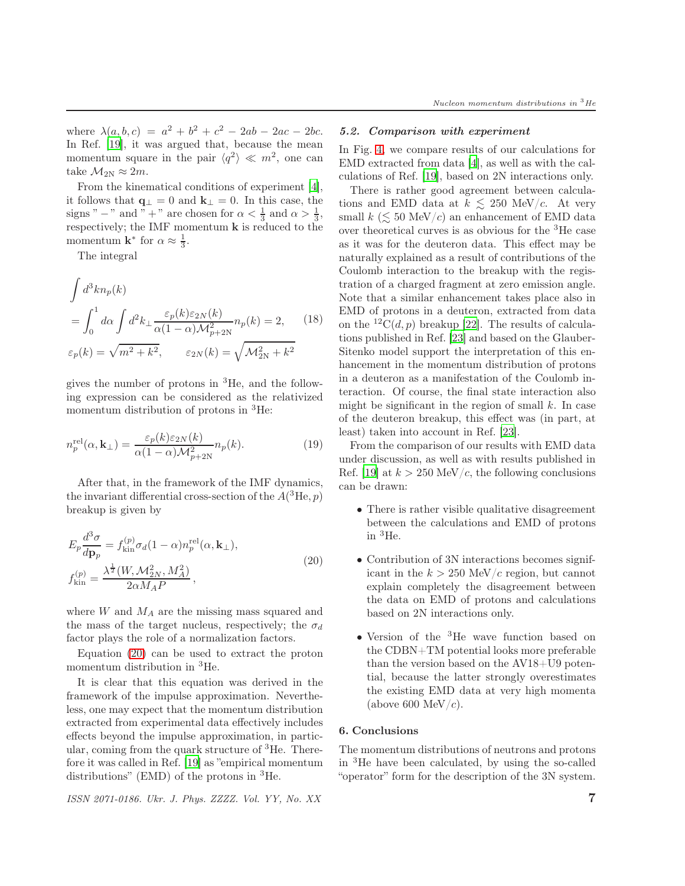where  $\lambda(a, b, c) = a^2 + b^2 + c^2 - 2ab - 2ac - 2bc$ . In Ref. [\[19\]](#page-7-18), it was argued that, because the mean momentum square in the pair  $\langle q^2 \rangle \ll m^2$ , one can take  $\mathcal{M}_{2N} \approx 2m$ .

From the kinematical conditions of experiment [\[4](#page-7-3)], it follows that  $\mathbf{q}_{\perp} = 0$  and  $\mathbf{k}_{\perp} = 0$ . In this case, the signs " − " and " + " are chosen for  $\alpha < \frac{1}{3}$  and  $\alpha > \frac{1}{3}$ , respectively; the IMF momentum k is reduced to the momentum **k**<sup>\*</sup> for  $\alpha \approx \frac{1}{3}$ .

The integral

$$
\int d^3k n_p(k)
$$
\n
$$
= \int_0^1 d\alpha \int d^2k_\perp \frac{\varepsilon_p(k)\varepsilon_{2N}(k)}{\alpha(1-\alpha)\mathcal{M}_{p+2N}^2} n_p(k) = 2, \qquad (18)
$$
\n
$$
\varepsilon_p(k) = \sqrt{m^2 + k^2}, \qquad \varepsilon_{2N}(k) = \sqrt{\mathcal{M}_{2N}^2 + k^2}
$$

gives the number of protons in <sup>3</sup>He, and the following expression can be considered as the relativized momentum distribution of protons in <sup>3</sup>He:

$$
n_p^{\text{rel}}(\alpha, \mathbf{k}_{\perp}) = \frac{\varepsilon_p(k)\varepsilon_{2N}(k)}{\alpha(1-\alpha)\mathcal{M}_{p+2N}^2} n_p(k). \tag{19}
$$

After that, in the framework of the IMF dynamics, the invariant differential cross-section of the  $A(^{3}He, p)$ breakup is given by

<span id="page-6-1"></span>
$$
E_p \frac{d^3 \sigma}{dp_p} = f_{\text{kin}}^{(p)} \sigma_d (1 - \alpha) n_p^{\text{rel}}(\alpha, \mathbf{k}_{\perp}),
$$
  

$$
f_{\text{kin}}^{(p)} = \frac{\lambda^{\frac{1}{2}} (W, \mathcal{M}_{2N}^2, M_A^2)}{2 \alpha M_A P},
$$
 (20)

where  $W$  and  $M_A$  are the missing mass squared and the mass of the target nucleus, respectively; the  $\sigma_d$ factor plays the role of a normalization factors.

Equation [\(20\)](#page-6-1) can be used to extract the proton momentum distribution in <sup>3</sup>He.

It is clear that this equation was derived in the framework of the impulse approximation. Nevertheless, one may expect that the momentum distribution extracted from experimental data effectively includes effects beyond the impulse approximation, in particular, coming from the quark structure of  ${}^{3}$ He. Therefore it was called in Ref. [\[19](#page-7-18)] as "empirical momentum distributions" (EMD) of the protons in  ${}^{3}$ He.

*ISSN 2071-0186. Ukr. J. Phys. ZZZZ. Vol. YY, No. XX* 7

#### 5.2. Comparison with experiment

In Fig. [4,](#page-5-1) we compare results of our calculations for EMD extracted from data [\[4](#page-7-3)], as well as with the calculations of Ref. [\[19](#page-7-18)], based on 2N interactions only.

There is rather good agreement between calculations and EMD data at  $k \le 250$  MeV/c. At very small k ( $\leq 50$  MeV/c) an enhancement of EMD data over theoretical curves is as obvious for the <sup>3</sup>He case as it was for the deuteron data. This effect may be naturally explained as a result of contributions of the Coulomb interaction to the breakup with the registration of a charged fragment at zero emission angle. Note that a similar enhancement takes place also in EMD of protons in a deuteron, extracted from data on the  ${}^{12}C(d, p)$  breakup [22]. The results of calculations published in Ref. [\[23](#page-7-20)] and based on the Glauber-Sitenko model support the interpretation of this enhancement in the momentum distribution of protons in a deuteron as a manifestation of the Coulomb interaction. Of course, the final state interaction also might be significant in the region of small  $k$ . In case of the deuteron breakup, this effect was (in part, at least) taken into account in Ref. [\[23\]](#page-7-20).

From the comparison of our results with EMD data under discussion, as well as with results published in Ref. [\[19](#page-7-18)] at  $k > 250$  MeV/c, the following conclusions can be drawn:

- There is rather visible qualitative disagreement between the calculations and EMD of protons in  ${}^{3}$ He.
- Contribution of 3N interactions becomes significant in the  $k > 250$  MeV/c region, but cannot explain completely the disagreement between the data on EMD of protons and calculations based on 2N interactions only.
- Version of the <sup>3</sup>He wave function based on the CDBN+TM potential looks more preferable than the version based on the AV18+U9 potential, because the latter strongly overestimates the existing EMD data at very high momenta (above 600 MeV/ $c$ ).

#### <span id="page-6-0"></span>6. Conclusions

The momentum distributions of neutrons and protons in <sup>3</sup>He have been calculated, by using the so-called "operator" form for the description of the 3N system.